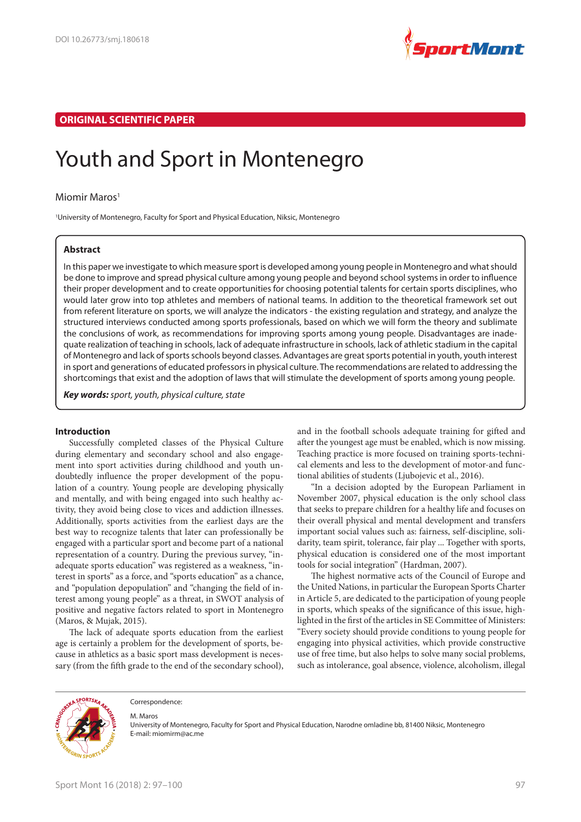

## **ORIGINAL SCIENTIFIC PAPER**

# Youth and Sport in Montenegro

### Miomir Maros<sup>1</sup>

1 University of Montenegro, Faculty for Sport and Physical Education, Niksic, Montenegro

## **Abstract**

In this paper we investigate to which measure sport is developed among young people in Montenegro and what should be done to improve and spread physical culture among young people and beyond school systems in order to influence their proper development and to create opportunities for choosing potential talents for certain sports disciplines, who would later grow into top athletes and members of national teams. In addition to the theoretical framework set out from referent literature on sports, we will analyze the indicators - the existing regulation and strategy, and analyze the structured interviews conducted among sports professionals, based on which we will form the theory and sublimate the conclusions of work, as recommendations for improving sports among young people. Disadvantages are inadequate realization of teaching in schools, lack of adequate infrastructure in schools, lack of athletic stadium in the capital of Montenegro and lack of sports schools beyond classes. Advantages are great sports potential in youth, youth interest in sport and generations of educated professors in physical culture. The recommendations are related to addressing the shortcomings that exist and the adoption of laws that will stimulate the development of sports among young people.

**Key words:** sport, youth, physical culture, state

## **Introduction**

Successfully completed classes of the Physical Culture during elementary and secondary school and also engagement into sport activities during childhood and youth undoubtedly influence the proper development of the population of a country. Young people are developing physically and mentally, and with being engaged into such healthy activity, they avoid being close to vices and addiction illnesses. Additionally, sports activities from the earliest days are the best way to recognize talents that later can professionally be engaged with a particular sport and become part of a national representation of a country. During the previous survey, "inadequate sports education" was registered as a weakness, "interest in sports" as a force, and "sports education" as a chance, and "population depopulation" and "changing the field of interest among young people" as a threat, in SWOT analysis of positive and negative factors related to sport in Montenegro (Maros, & Mujak, 2015).

The lack of adequate sports education from the earliest age is certainly a problem for the development of sports, because in athletics as a basic sport mass development is necessary (from the fifth grade to the end of the secondary school), and in the football schools adequate training for gifted and after the youngest age must be enabled, which is now missing. Teaching practice is more focused on training sports-technical elements and less to the development of motor-and functional abilities of students (Ljubojevic et al., 2016).

"In a decision adopted by the European Parliament in November 2007, physical education is the only school class that seeks to prepare children for a healthy life and focuses on their overall physical and mental development and transfers important social values such as: fairness, self-discipline, solidarity, team spirit, tolerance, fair play ... Together with sports, physical education is considered one of the most important tools for social integration" (Hardman, 2007).

The highest normative acts of the Council of Europe and the United Nations, in particular the European Sports Charter in Article 5, are dedicated to the participation of young people in sports, which speaks of the significance of this issue, highlighted in the first of the articles in SE Committee of Ministers: "Every society should provide conditions to young people for engaging into physical activities, which provide constructive use of free time, but also helps to solve many social problems, such as intolerance, goal absence, violence, alcoholism, illegal



Correspondence:

M. Maros

University of Montenegro, Faculty for Sport and Physical Education, Narodne omladine bb, 81400 Niksic, Montenegro E-mail: miomirm@ac.me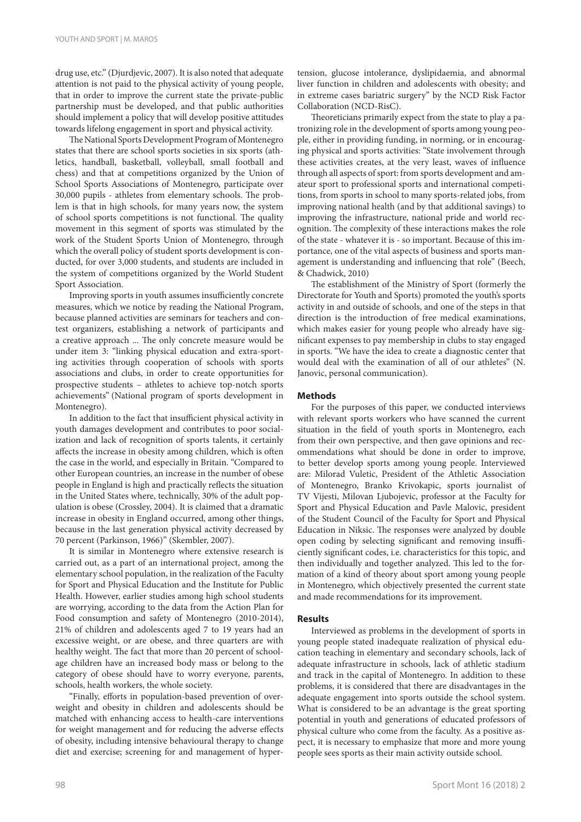drug use, etc." (Djurdjevic, 2007). It is also noted that adequate attention is not paid to the physical activity of young people, that in order to improve the current state the private-public partnership must be developed, and that public authorities should implement a policy that will develop positive attitudes towards lifelong engagement in sport and physical activity.

The National Sports Development Program of Montenegro states that there are school sports societies in six sports (athletics, handball, basketball, volleyball, small football and chess) and that at competitions organized by the Union of School Sports Associations of Montenegro, participate over 30,000 pupils - athletes from elementary schools. The problem is that in high schools, for many years now, the system of school sports competitions is not functional. The quality movement in this segment of sports was stimulated by the work of the Student Sports Union of Montenegro, through which the overall policy of student sports development is conducted, for over 3,000 students, and students are included in the system of competitions organized by the World Student Sport Association.

Improving sports in youth assumes insufficiently concrete measures, which we notice by reading the National Program, because planned activities are seminars for teachers and contest organizers, establishing a network of participants and a creative approach ... The only concrete measure would be under item 3: "linking physical education and extra-sporting activities through cooperation of schools with sports associations and clubs, in order to create opportunities for prospective students – athletes to achieve top-notch sports achievements" (National program of sports development in Montenegro).

In addition to the fact that insufficient physical activity in youth damages development and contributes to poor socialization and lack of recognition of sports talents, it certainly affects the increase in obesity among children, which is often the case in the world, and especially in Britain. "Compared to other European countries, an increase in the number of obese people in England is high and practically reflects the situation in the United States where, technically, 30% of the adult population is obese (Crossley, 2004). It is claimed that a dramatic increase in obesity in England occurred, among other things, because in the last generation physical activity decreased by 70 percent (Parkinson, 1966)" (Skembler, 2007).

It is similar in Montenegro where extensive research is carried out, as a part of an international project, among the elementary school population, in the realization of the Faculty for Sport and Physical Education and the Institute for Public Health. However, earlier studies among high school students are worrying, according to the data from the Action Plan for Food consumption and safety of Montenegro (2010-2014), 21% of children and adolescents aged 7 to 19 years had an excessive weight, or are obese, and three quarters are with healthy weight. The fact that more than 20 percent of schoolage children have an increased body mass or belong to the category of obese should have to worry everyone, parents, schools, health workers, the whole society.

"Finally, efforts in population-based prevention of overweight and obesity in children and adolescents should be matched with enhancing access to health-care interventions for weight management and for reducing the adverse effects of obesity, including intensive behavioural therapy to change diet and exercise; screening for and management of hyper-

Theoreticians primarily expect from the state to play a patronizing role in the development of sports among young people, either in providing funding, in norming, or in encouraging physical and sports activities: "State involvement through these activities creates, at the very least, waves of influence through all aspects of sport: from sports development and amateur sport to professional sports and international competitions, from sports in school to many sports-related jobs, from improving national health (and by that additional savings) to improving the infrastructure, national pride and world recognition. The complexity of these interactions makes the role of the state - whatever it is - so important. Because of this importance, one of the vital aspects of business and sports management is understanding and influencing that role" (Beech, & Chadwick, 2010)

The establishment of the Ministry of Sport (formerly the Directorate for Youth and Sports) promoted the youth's sports activity in and outside of schools, and one of the steps in that direction is the introduction of free medical examinations, which makes easier for young people who already have significant expenses to pay membership in clubs to stay engaged in sports. "We have the idea to create a diagnostic center that would deal with the examination of all of our athletes" (N. Janovic, personal communication).

### **Methods**

For the purposes of this paper, we conducted interviews with relevant sports workers who have scanned the current situation in the field of youth sports in Montenegro, each from their own perspective, and then gave opinions and recommendations what should be done in order to improve, to better develop sports among young people. Interviewed are: Milorad Vuletic, President of the Athletic Association of Montenegro, Branko Krivokapic, sports journalist of TV Vijesti, Milovan Ljubojevic, professor at the Faculty for Sport and Physical Education and Pavle Malovic, president of the Student Council of the Faculty for Sport and Physical Education in Niksic. The responses were analyzed by double open coding by selecting significant and removing insufficiently significant codes, i.e. characteristics for this topic, and then individually and together analyzed. This led to the formation of a kind of theory about sport among young people in Montenegro, which objectively presented the current state and made recommendations for its improvement.

### **Results**

Interviewed as problems in the development of sports in young people stated inadequate realization of physical education teaching in elementary and secondary schools, lack of adequate infrastructure in schools, lack of athletic stadium and track in the capital of Montenegro. In addition to these problems, it is considered that there are disadvantages in the adequate engagement into sports outside the school system. What is considered to be an advantage is the great sporting potential in youth and generations of educated professors of physical culture who come from the faculty. As a positive aspect, it is necessary to emphasize that more and more young people sees sports as their main activity outside school.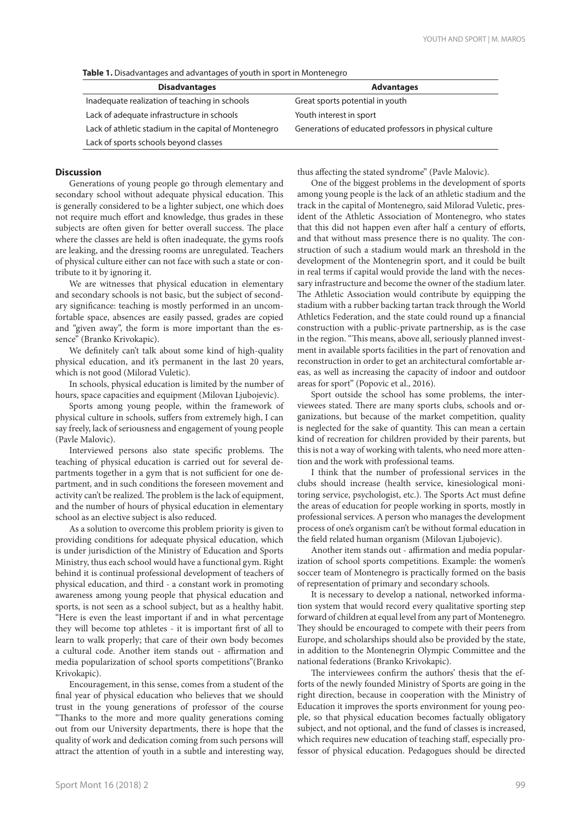| <b>Disadvantages</b>                                  | <b>Advantages</b>                                      |
|-------------------------------------------------------|--------------------------------------------------------|
| Inadequate realization of teaching in schools         | Great sports potential in youth                        |
| Lack of adequate infrastructure in schools            | Youth interest in sport                                |
| Lack of athletic stadium in the capital of Montenegro | Generations of educated professors in physical culture |
| Lack of sports schools beyond classes                 |                                                        |

#### **Discussion**

Generations of young people go through elementary and secondary school without adequate physical education. This is generally considered to be a lighter subject, one which does not require much effort and knowledge, thus grades in these subjects are often given for better overall success. The place where the classes are held is often inadequate, the gyms roofs are leaking, and the dressing rooms are unregulated. Teachers of physical culture either can not face with such a state or contribute to it by ignoring it.

We are witnesses that physical education in elementary and secondary schools is not basic, but the subject of secondary significance: teaching is mostly performed in an uncomfortable space, absences are easily passed, grades are copied and "given away", the form is more important than the essence" (Branko Krivokapic).

We definitely can't talk about some kind of high-quality physical education, and it's permanent in the last 20 years, which is not good (Milorad Vuletic).

In schools, physical education is limited by the number of hours, space capacities and equipment (Milovan Ljubojevic).

Sports among young people, within the framework of physical culture in schools, suffers from extremely high, I can say freely, lack of seriousness and engagement of young people (Pavle Malovic).

Interviewed persons also state specific problems. The teaching of physical education is carried out for several departments together in a gym that is not sufficient for one department, and in such conditions the foreseen movement and activity can't be realized. The problem is the lack of equipment, and the number of hours of physical education in elementary school as an elective subject is also reduced.

As a solution to overcome this problem priority is given to providing conditions for adequate physical education, which is under jurisdiction of the Ministry of Education and Sports Ministry, thus each school would have a functional gym. Right behind it is continual professional development of teachers of physical education, and third - a constant work in promoting awareness among young people that physical education and sports, is not seen as a school subject, but as a healthy habit. "Here is even the least important if and in what percentage they will become top athletes - it is important first of all to learn to walk properly; that care of their own body becomes a cultural code. Another item stands out - affirmation and media popularization of school sports competitions"(Branko Krivokapic).

Encouragement, in this sense, comes from a student of the final year of physical education who believes that we should trust in the young generations of professor of the course "Thanks to the more and more quality generations coming out from our University departments, there is hope that the quality of work and dedication coming from such persons will attract the attention of youth in a subtle and interesting way, thus affecting the stated syndrome" (Pavle Malovic).

One of the biggest problems in the development of sports among young people is the lack of an athletic stadium and the track in the capital of Montenegro, said Milorad Vuletic, president of the Athletic Association of Montenegro, who states that this did not happen even after half a century of efforts, and that without mass presence there is no quality. The construction of such a stadium would mark an threshold in the development of the Montenegrin sport, and it could be built in real terms if capital would provide the land with the necessary infrastructure and become the owner of the stadium later. The Athletic Association would contribute by equipping the stadium with a rubber backing tartan track through the World Athletics Federation, and the state could round up a financial construction with a public-private partnership, as is the case in the region. "This means, above all, seriously planned investment in available sports facilities in the part of renovation and reconstruction in order to get an architectural comfortable areas, as well as increasing the capacity of indoor and outdoor areas for sport" (Popovic et al., 2016).

Sport outside the school has some problems, the interviewees stated. There are many sports clubs, schools and organizations, but because of the market competition, quality is neglected for the sake of quantity. This can mean a certain kind of recreation for children provided by their parents, but this is not a way of working with talents, who need more attention and the work with professional teams.

I think that the number of professional services in the clubs should increase (health service, kinesiological monitoring service, psychologist, etc.). The Sports Act must define the areas of education for people working in sports, mostly in professional services. A person who manages the development process of one's organism can't be without formal education in the field related human organism (Milovan Ljubojevic).

Another item stands out - affirmation and media popularization of school sports competitions. Example: the women's soccer team of Montenegro is practically formed on the basis of representation of primary and secondary schools.

It is necessary to develop a national, networked information system that would record every qualitative sporting step forward of children at equal level from any part of Montenegro. They should be encouraged to compete with their peers from Europe, and scholarships should also be provided by the state, in addition to the Montenegrin Olympic Committee and the national federations (Branko Krivokapic).

The interviewees confirm the authors' thesis that the efforts of the newly founded Ministry of Sports are going in the right direction, because in cooperation with the Ministry of Education it improves the sports environment for young people, so that physical education becomes factually obligatory subject, and not optional, and the fund of classes is increased, which requires new education of teaching staff, especially professor of physical education. Pedagogues should be directed